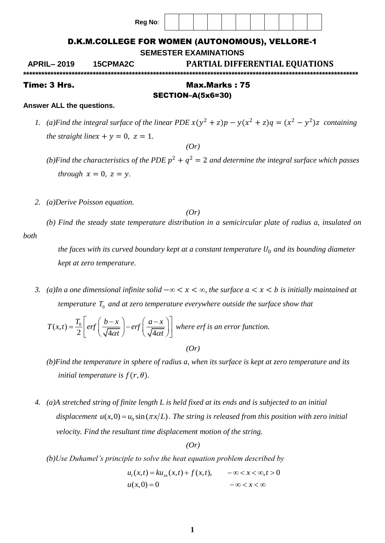| Time: 3 Hrs.      |                                                          |  |  | Max.Marks: 75 |  |  |  |  |  |  |  |  |  |
|-------------------|----------------------------------------------------------|--|--|---------------|--|--|--|--|--|--|--|--|--|
| <b>APRIL-2019</b> | <b>PARTIAL DIFFERENTIAL EQUATIONS</b><br><b>15CPMA2C</b> |  |  |               |  |  |  |  |  |  |  |  |  |
|                   | <b>SEMESTER EXAMINATIONS</b>                             |  |  |               |  |  |  |  |  |  |  |  |  |
|                   | D.K.M.COLLEGE FOR WOMEN (AUTONOMOUS), VELLORE-1          |  |  |               |  |  |  |  |  |  |  |  |  |
|                   | Reg No:                                                  |  |  |               |  |  |  |  |  |  |  |  |  |
|                   |                                                          |  |  |               |  |  |  |  |  |  |  |  |  |

# SECTION–A(5x6=30)

### **Answer ALL the questions.**

- *1.* (a) Find the integral surface of the linear PDE  $x(y^2 + z)p y(x^2 + z)q = (x^2 y^2)z$  containing *the straight linex* +  $y = 0$ ,  $z = 1$ . *(Or)*
	- *(b)Find the characteristics of the PDE*  $p^2 + q^2 = 2$  *and determine the integral surface which passes through*  $x = 0$ ,  $z = y$ .
- *2. (a)Derive Poisson equation.*

*(Or)*

*(b) Find the steady state temperature distribution in a semicircular plate of radius a, insulated on both* 

*the faces with its curved boundary kept at a constant temperature*  $U_0$  *and its bounding diameter kept at zero temperature.*

*3. (a)In a one dimensional infinite solid*  $-\infty < x < \infty$ , the surface  $a < x < b$  is initially maintained at *temperature*  $T_0$  and at zero temperature everywhere outside the surface show that

$$
T(x,t) = \frac{T_0}{2} \left[ erf \left( \frac{b-x}{\sqrt{4\alpha t}} \right) - erf \left( \frac{a-x}{\sqrt{4\alpha t}} \right) \right]
$$
 where erf is an error function.  
(Or)

- *(b)Find the temperature in sphere of radius a, when its surface is kept at zero temperature and its initial temperature is*  $f(r, \theta)$ *.*
- *4. (a)A stretched string of finite length L is held fixed at its ends and is subjected to an initial*  displacement  $u(x,0) = u_0 \sin(\pi x/L)$ . The string is released from this position with zero initial  *velocity. Find the resultant time displacement motion of the string.*

*(Or)*

*(b)Use Duhamel's principle to solve the heat equation problem described by*<br>  $u_t(x,t) = ku_{xx}(x,t) + f(x,t), \quad -\infty < x < \infty, t > 0$ 

$$
u_t(x,t) = ku_{xx}(x,t) + f(x,t), \qquad -\infty < x < \infty, t > 0
$$
  

$$
u(x,0) = 0 \qquad -\infty < x < \infty
$$